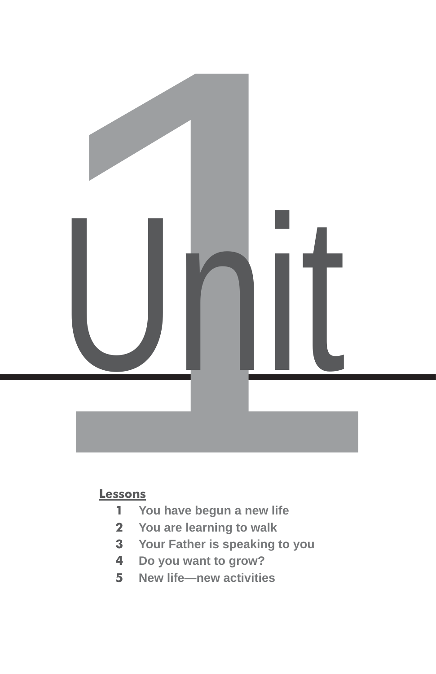

#### **Lessons**

- **You have begun a new life**
- **You are learning to walk**
- **Your Father is speaking to you**
- **Do you want to grow?**
- **New life—new activities**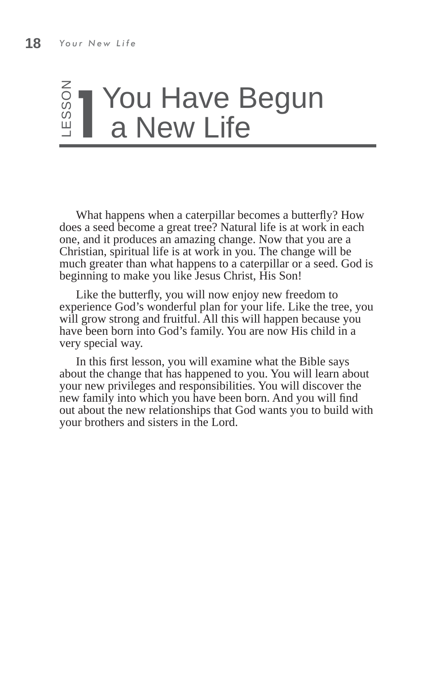# <u>s</u> T¥ou Have Begun<br>≝ Ta New Life a New Life

What happens when a caterpillar becomes a butterfly? How does a seed become a great tree? Natural life is at work in each one, and it produces an amazing change. Now that you are a Christian, spiritual life is at work in you. The change will be much greater than what happens to a caterpillar or a seed. God is beginning to make you like Jesus Christ, His Son!

Like the butterfly, you will now enjoy new freedom to experience God's wonderful plan for your life. Like the tree, you will grow strong and fruitful. All this will happen because you have been born into God's family. You are now His child in a very special way.

In this first lesson, you will examine what the Bible says about the change that has happened to you. You will learn about your new privileges and responsibilities. You will discover the new family into which you have been born. And you will find out about the new relationships that God wants you to build with your brothers and sisters in the Lord.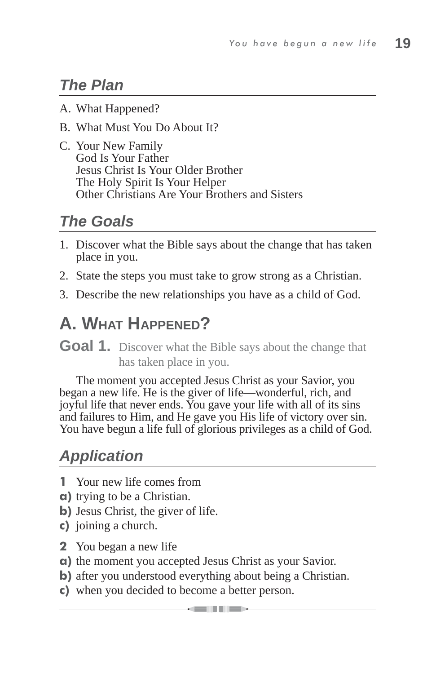## *The Plan*

- A. What Happened?
- B. What Must You Do About It?
- C. Your New Family God Is Your Father Jesus Christ Is Your Older Brother The Holy Spirit Is Your Helper Other Christians Are Your Brothers and Sisters

## *The Goals*

- 1. Discover what the Bible says about the change that has taken place in you.
- 2. State the steps you must take to grow strong as a Christian.
- 3. Describe the new relationships you have as a child of God.

# **A. WHAT HAPPENED?**

**Goal 1.** Discover what the Bible says about the change that has taken place in you.

The moment you accepted Jesus Christ as your Savior, you began a new life. He is the giver of life—wonderful, rich, and joyful life that never ends. You gave your life with all of its sins and failures to Him, and He gave you His life of victory over sin. You have begun a life full of glorious privileges as a child of God.

## *Application*

- **1** Your new life comes from
- **a)** trying to be a Christian.
- **b**) Jesus Christ, the giver of life.
- **c)** joining a church.
- **2** You began a new life
- **a)** the moment you accepted Jesus Christ as your Savior.
- **b**) after you understood everything about being a Christian.
- **c)** when you decided to become a better person.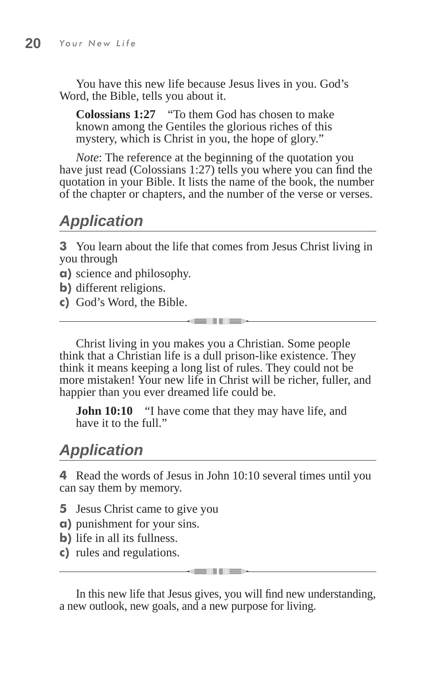You have this new life because Jesus lives in you. God's Word, the Bible, tells you about it.

**Colossians 1:27** "To them God has chosen to make known among the Gentiles the glorious riches of this mystery, which is Christ in you, the hope of glory."

*Note*: The reference at the beginning of the quotation you have just read (Colossians 1:27) tells you where you can find the quotation in your Bible. It lists the name of the book, the number of the chapter or chapters, and the number of the verse or verses.

## *Application*

**3** You learn about the life that comes from Jesus Christ living in you through

- **a)** science and philosophy.
- **b)** different religions.
- **c)** God's Word, the Bible.

Christ living in you makes you a Christian. Some people think that a Christian life is a dull prison-like existence. They think it means keeping a long list of rules. They could not be more mistaken! Your new life in Christ will be richer, fuller, and happier than you ever dreamed life could be.

**GENERAL** 

**John 10:10** "I have come that they may have life, and have it to the full."

#### *Application*

**4** Read the words of Jesus in John 10:10 several times until you can say them by memory.

- **5** Jesus Christ came to give you
- **a)** punishment for your sins.
- **b)** life in all its fullness.
- **c)** rules and regulations.

In this new life that Jesus gives, you will find new understanding, a new outlook, new goals, and a new purpose for living.

and the first series.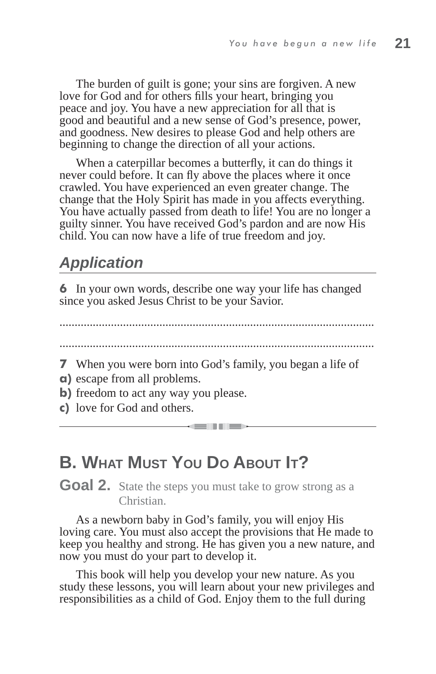The burden of guilt is gone; your sins are forgiven. A new love for God and for others fills your heart, bringing you peace and joy. You have a new appreciation for all that is good and beautiful and a new sense of God's presence, power, and goodness. New desires to please God and help others are beginning to change the direction of all your actions.

When a caterpillar becomes a butterfly, it can do things it never could before. It can fly above the places where it once crawled. You have experienced an even greater change. The change that the Holy Spirit has made in you affects everything. You have actually passed from death to life! You are no longer a guilty sinner. You have received God's pardon and are now His child. You can now have a life of true freedom and joy.

#### *Application*

**6** In your own words, describe one way your life has changed since you asked Jesus Christ to be your Savior.

........................................................................................................

........................................................................................................

and the first part of the local district

- **7** When you were born into God's family, you began a life of **a)** escape from all problems.
- **b**) freedom to act any way you please.
- **c)** love for God and others.

### **B. WHAT MUST YOU DO ABOUT IT?**

**Goal 2.** State the steps you must take to grow strong as a Christian.

As a newborn baby in God's family, you will enjoy His loving care. You must also accept the provisions that He made to keep you healthy and strong. He has given you a new nature, and now you must do your part to develop it.

This book will help you develop your new nature. As you study these lessons, you will learn about your new privileges and responsibilities as a child of God. Enjoy them to the full during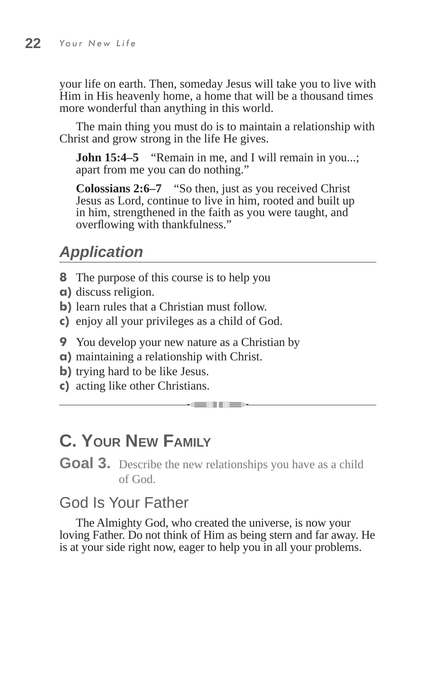your life on earth. Then, someday Jesus will take you to live with Him in His heavenly home, a home that will be a thousand times more wonderful than anything in this world.

The main thing you must do is to maintain a relationship with Christ and grow strong in the life He gives.

**John 15:4–5** "Remain in me, and I will remain in you...; apart from me you can do nothing."

**Colossians 2:6–7** "So then, just as you received Christ Jesus as Lord, continue to live in him, rooted and built up in him, strengthened in the faith as you were taught, and overflowing with thankfulness."

## *Application*

- **8** The purpose of this course is to help you
- **a)** discuss religion.
- **b**) learn rules that a Christian must follow.
- **c)** enjoy all your privileges as a child of God.
- **9** You develop your new nature as a Christian by
- **a)** maintaining a relationship with Christ.
- **b**) trying hard to be like Jesus.
- **c)** acting like other Christians.

## **C. YOUR NEW FAMILY**

**Goal 3.** Describe the new relationships you have as a child of God.

**KEINER** 

### God Is Your Father

The Almighty God, who created the universe, is now your loving Father. Do not think of Him as being stern and far away. He is at your side right now, eager to help you in all your problems.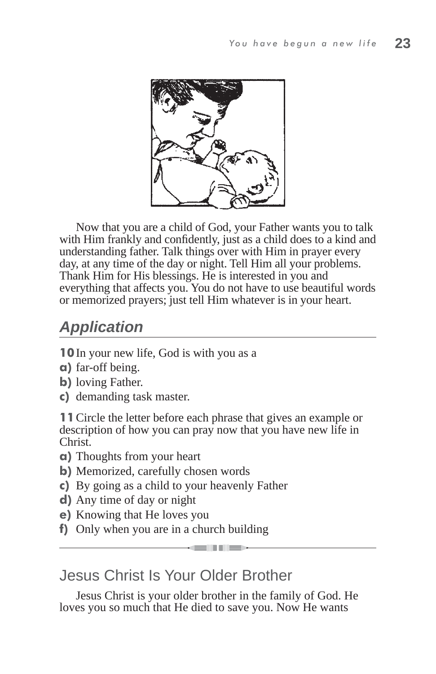

Now that you are a child of God, your Father wants you to talk with Him frankly and confidently, just as a child does to a kind and understanding father. Talk things over with Him in prayer every day, at any time of the day or night. Tell Him all your problems. Thank Him for His blessings. He is interested in you and everything that affects you. You do not have to use beautiful words or memorized prayers; just tell Him whatever is in your heart.

## *Application*

**10** In your new life, God is with you as a

- **a)** far-off being.
- **b)** loving Father.
- **c)** demanding task master.

**11** Circle the letter before each phrase that gives an example or description of how you can pray now that you have new life in Christ.

- **a)** Thoughts from your heart
- **b)** Memorized, carefully chosen words
- **c)** By going as a child to your heavenly Father
- **d)** Any time of day or night
- **e)** Knowing that He loves you
- **f)** Only when you are in a church building

Jesus Christ Is Your Older Brother

Jesus Christ is your older brother in the family of God. He loves you so much that He died to save you. Now He wants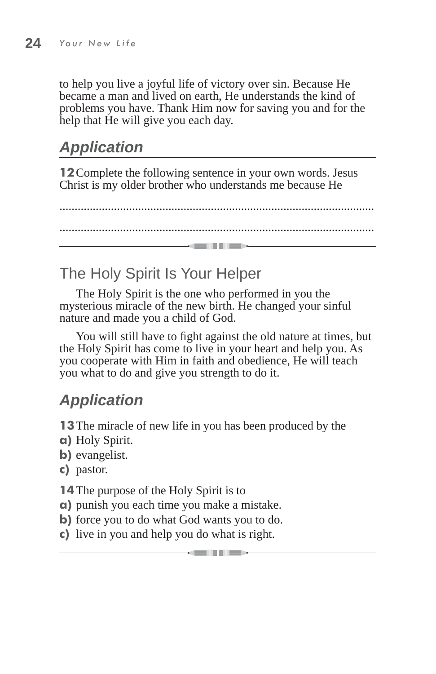to help you live a joyful life of victory over sin. Because He became a man and lived on earth, He understands the kind of problems you have. Thank Him now for saving you and for the help that He will give you each day.

## *Application*

**12** Complete the following sentence in your own words. Jesus Christ is my older brother who understands me because He

........................................................................................................ ........................................................................................................ and in the sea

### The Holy Spirit Is Your Helper

The Holy Spirit is the one who performed in you the mysterious miracle of the new birth. He changed your sinful nature and made you a child of God.

You will still have to fight against the old nature at times, but the Holy Spirit has come to live in your heart and help you. As you cooperate with Him in faith and obedience, He will teach you what to do and give you strength to do it.

## *Application*

**13** The miracle of new life in you has been produced by the

- **a)** Holy Spirit.
- **b)** evangelist.
- **c)** pastor.

**14** The purpose of the Holy Spirit is to

- **a)** punish you each time you make a mistake.
- **b**) force you to do what God wants you to do.
- **c)** live in you and help you do what is right.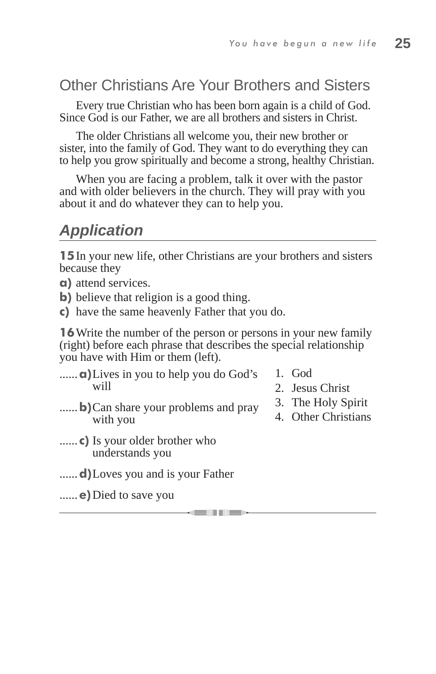#### Other Christians Are Your Brothers and Sisters

Every true Christian who has been born again is a child of God. Since God is our Father, we are all brothers and sisters in Christ.

The older Christians all welcome you, their new brother or sister, into the family of God. They want to do everything they can to help you grow spiritually and become a strong, healthy Christian.

When you are facing a problem, talk it over with the pastor and with older believers in the church. They will pray with you about it and do whatever they can to help you.

#### *Application*

**15** In your new life, other Christians are your brothers and sisters because they

**a)** attend services.

**b**) believe that religion is a good thing.

**c)** have the same heavenly Father that you do.

**16** Write the number of the person or persons in your new family (right) before each phrase that describes the special relationship you have with Him or them (left).

**KENNED** 

- ......**a)** Lives in you to help you do God's will
- 1. God
- 2. Jesus Christ
- ......**b**) Can share your problems and pray with you
- 3. The Holy Spirit 4. Other Christians
- ...... **c)** Is your older brother who understands you

......**d)** Loves you and is your Father

......**e)** Died to save you